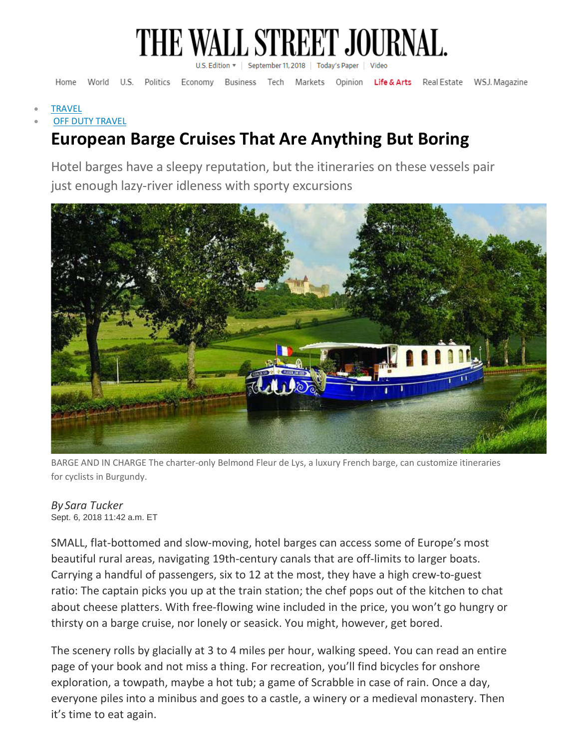

Home World U.S. Politics Economy Business Tech Markets Opinion Life & Arts Real Estate WSJ. Magazine

**[TRAVEL](https://www.wsj.com/news/magazine/travel)** 

#### **OFF DUTY [TRAVEL](https://www.wsj.com/news/types/off-duty-travel)**

## **European Barge Cruises That Are Anything But Boring**

Hotel barges have a sleepy reputation, but the itineraries on these vessels pair just enough lazy-river idleness with sporty excursions



BARGE AND IN CHARGE The charter-only Belmond Fleur de Lys, a luxury French barge, can customize itineraries for cyclists in Burgundy.

#### *By Sara Tucker* Sept. 6, 2018 11:42 a.m. ET

SMALL, flat-bottomed and slow-moving, hotel barges can access some of Europe's most beautiful rural areas, navigating 19th-century canals that are off-limits to larger boats. Carrying a handful of passengers, six to 12 at the most, they have a high crew-to-guest ratio: The captain picks you up at the train station; the chef pops out of the kitchen to chat about cheese platters. With free-flowing wine included in the price, you won't go hungry or thirsty on a barge cruise, nor lonely or seasick. You might, however, get bored.

The scenery rolls by glacially at 3 to 4 miles per hour, walking speed. You can read an entire page of your book and not miss a thing. For recreation, you'll find bicycles for onshore exploration, a towpath, maybe a hot tub; a game of Scrabble in case of rain. Once a day, everyone piles into a minibus and goes to a castle, a winery or a medieval monastery. Then it's time to eat again.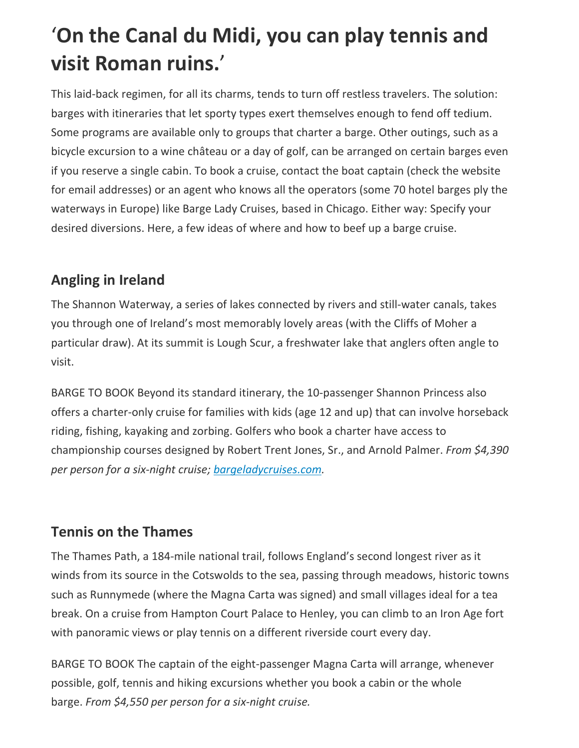# '**On the Canal du Midi, you can play tennis and visit Roman ruins.**'

This laid-back regimen, for all its charms, tends to turn off restless travelers. The solution: barges with itineraries that let sporty types exert themselves enough to fend off tedium. Some programs are available only to groups that charter a barge. Other outings, such as a bicycle excursion to a wine château or a day of golf, can be arranged on certain barges even if you reserve a single cabin. To book a cruise, contact the boat captain (check the website for email addresses) or an agent who knows all the operators (some 70 hotel barges ply the waterways in Europe) like Barge Lady Cruises, based in Chicago. Either way: Specify your desired diversions. Here, a few ideas of where and how to beef up a barge cruise.

## **Angling in Ireland**

The Shannon Waterway, a series of lakes connected by rivers and still-water canals, takes you through one of Ireland's most memorably lovely areas (with the Cliffs of Moher a particular draw). At its summit is Lough Scur, a freshwater lake that anglers often angle to visit.

BARGE TO BOOK Beyond its standard itinerary, the 10-passenger Shannon Princess also offers a charter-only cruise for families with kids (age 12 and up) that can involve horseback riding, fishing, kayaking and zorbing. Golfers who book a charter have access to championship courses designed by Robert Trent Jones, Sr., and Arnold Palmer. *From \$4,390 per person for a six-night cruise; [bargeladycruises.com.](https://www.bargeladycruises.com/?mod=article_inline)*

#### **Tennis on the Thames**

The Thames Path, a 184-mile national trail, follows England's second longest river as it winds from its source in the Cotswolds to the sea, passing through meadows, historic towns such as Runnymede (where the Magna Carta was signed) and small villages ideal for a tea break. On a cruise from Hampton Court Palace to Henley, you can climb to an Iron Age fort with panoramic views or play tennis on a different riverside court every day.

BARGE TO BOOK The captain of the eight-passenger Magna Carta will arrange, whenever possible, golf, tennis and hiking excursions whether you book a cabin or the whole barge. *From \$4,550 per person for a six-night cruise.*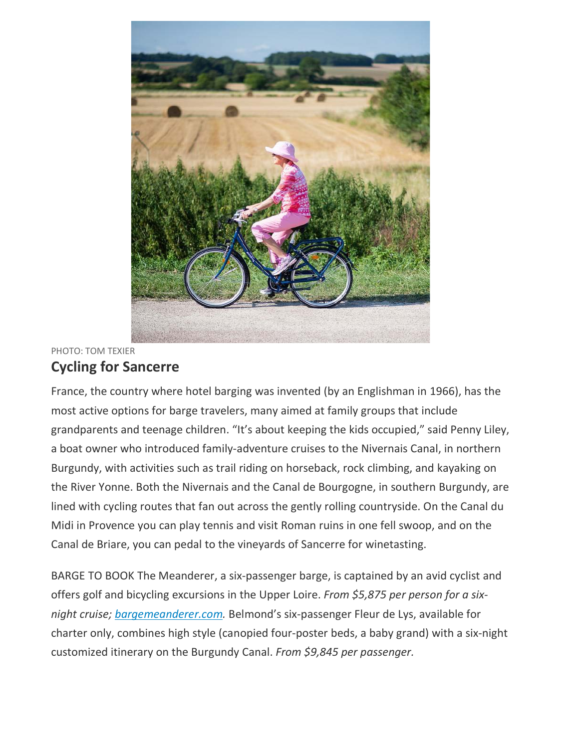

#### PHOTO: TOM TEXIER **Cycling for Sancerre**

France, the country where hotel barging was invented (by an Englishman in 1966), has the most active options for barge travelers, many aimed at family groups that include grandparents and teenage children. "It's about keeping the kids occupied," said Penny Liley, a boat owner who introduced family-adventure cruises to the Nivernais Canal, in northern Burgundy, with activities such as trail riding on horseback, rock climbing, and kayaking on the River Yonne. Both the Nivernais and the Canal de Bourgogne, in southern Burgundy, are lined with cycling routes that fan out across the gently rolling countryside. On the Canal du Midi in Provence you can play tennis and visit Roman ruins in one fell swoop, and on the Canal de Briare, you can pedal to the vineyards of Sancerre for winetasting.

BARGE TO BOOK The Meanderer, a six-passenger barge, is captained by an avid cyclist and offers golf and bicycling excursions in the Upper Loire. *From \$5,875 per person for a sixnight cruise; [bargemeanderer.com.](http://bargemeanderer.com/?mod=article_inline)* Belmond's six-passenger Fleur de Lys, available for charter only, combines high style (canopied four-poster beds, a baby grand) with a six-night customized itinerary on the Burgundy Canal. *From \$9,845 per passenger.*